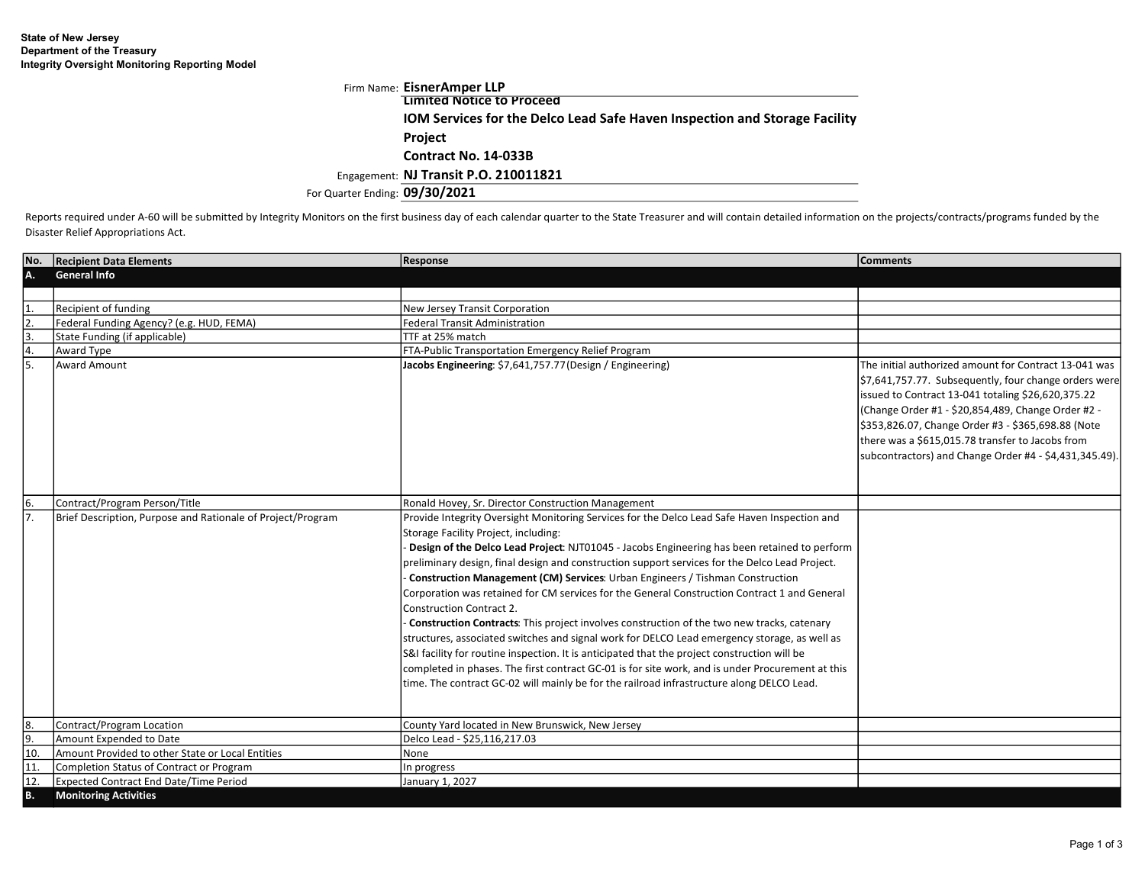|                                | Firm Name: EisnerAmper LLP                                                        |
|--------------------------------|-----------------------------------------------------------------------------------|
|                                | Limited Notice to Proceed                                                         |
|                                | <b>IOM Services for the Delco Lead Safe Haven Inspection and Storage Facility</b> |
|                                | <b>Project</b>                                                                    |
|                                | Contract No. 14-033B                                                              |
|                                | Engagement: NJ Transit P.O. 210011821                                             |
| For Quarter Ending: 09/30/2021 |                                                                                   |

Reports required under A-60 will be submitted by Integrity Monitors on the first business day of each calendar quarter to the State Treasurer and will contain detailed information on the projects/contracts/programs funded Disaster Relief Appropriations Act.

| lNo.      | <b>Recipient Data Elements</b>                              | <b>Response</b>                                                                                                                                                                                                                                                                                                                                                                                                                                                                                                                                                                                                                                                                                                                                                                                                                                                                                                                                                                                                                                             | <b>Comments</b>                                                                                                                                                                                                                                                                                                                                                                                |
|-----------|-------------------------------------------------------------|-------------------------------------------------------------------------------------------------------------------------------------------------------------------------------------------------------------------------------------------------------------------------------------------------------------------------------------------------------------------------------------------------------------------------------------------------------------------------------------------------------------------------------------------------------------------------------------------------------------------------------------------------------------------------------------------------------------------------------------------------------------------------------------------------------------------------------------------------------------------------------------------------------------------------------------------------------------------------------------------------------------------------------------------------------------|------------------------------------------------------------------------------------------------------------------------------------------------------------------------------------------------------------------------------------------------------------------------------------------------------------------------------------------------------------------------------------------------|
| IA.       | <b>General Info</b>                                         |                                                                                                                                                                                                                                                                                                                                                                                                                                                                                                                                                                                                                                                                                                                                                                                                                                                                                                                                                                                                                                                             |                                                                                                                                                                                                                                                                                                                                                                                                |
|           |                                                             |                                                                                                                                                                                                                                                                                                                                                                                                                                                                                                                                                                                                                                                                                                                                                                                                                                                                                                                                                                                                                                                             |                                                                                                                                                                                                                                                                                                                                                                                                |
|           | Recipient of funding                                        | New Jersey Transit Corporation                                                                                                                                                                                                                                                                                                                                                                                                                                                                                                                                                                                                                                                                                                                                                                                                                                                                                                                                                                                                                              |                                                                                                                                                                                                                                                                                                                                                                                                |
| l2        | Federal Funding Agency? (e.g. HUD, FEMA)                    | <b>Federal Transit Administration</b>                                                                                                                                                                                                                                                                                                                                                                                                                                                                                                                                                                                                                                                                                                                                                                                                                                                                                                                                                                                                                       |                                                                                                                                                                                                                                                                                                                                                                                                |
| 3.        | State Funding (if applicable)                               | TTF at 25% match                                                                                                                                                                                                                                                                                                                                                                                                                                                                                                                                                                                                                                                                                                                                                                                                                                                                                                                                                                                                                                            |                                                                                                                                                                                                                                                                                                                                                                                                |
| 14.       | Award Type                                                  | FTA-Public Transportation Emergency Relief Program                                                                                                                                                                                                                                                                                                                                                                                                                                                                                                                                                                                                                                                                                                                                                                                                                                                                                                                                                                                                          |                                                                                                                                                                                                                                                                                                                                                                                                |
| l5.       | <b>Award Amount</b>                                         | Jacobs Engineering: \$7,641,757.77 (Design / Engineering)                                                                                                                                                                                                                                                                                                                                                                                                                                                                                                                                                                                                                                                                                                                                                                                                                                                                                                                                                                                                   | The initial authorized amount for Contract 13-041 was<br>\$7,641,757.77. Subsequently, four change orders were<br>issued to Contract 13-041 totaling \$26,620,375.22<br>(Change Order #1 - \$20,854,489, Change Order #2 -<br>\$353,826.07, Change Order #3 - \$365,698.88 (Note<br>there was a \$615,015.78 transfer to Jacobs from<br>subcontractors) and Change Order #4 - \$4,431,345.49). |
| 6.        | Contract/Program Person/Title                               | Ronald Hovey, Sr. Director Construction Management                                                                                                                                                                                                                                                                                                                                                                                                                                                                                                                                                                                                                                                                                                                                                                                                                                                                                                                                                                                                          |                                                                                                                                                                                                                                                                                                                                                                                                |
|           | Brief Description, Purpose and Rationale of Project/Program | Provide Integrity Oversight Monitoring Services for the Delco Lead Safe Haven Inspection and<br>Storage Facility Project, including:<br>Design of the Delco Lead Project: NJT01045 - Jacobs Engineering has been retained to perform<br>preliminary design, final design and construction support services for the Delco Lead Project.<br>Construction Management (CM) Services: Urban Engineers / Tishman Construction<br>Corporation was retained for CM services for the General Construction Contract 1 and General<br><b>Construction Contract 2.</b><br>- Construction Contracts: This project involves construction of the two new tracks, catenary<br>structures, associated switches and signal work for DELCO Lead emergency storage, as well as<br>S&I facility for routine inspection. It is anticipated that the project construction will be<br>completed in phases. The first contract GC-01 is for site work, and is under Procurement at this<br>time. The contract GC-02 will mainly be for the railroad infrastructure along DELCO Lead. |                                                                                                                                                                                                                                                                                                                                                                                                |
| <u>8.</u> | Contract/Program Location                                   | County Yard located in New Brunswick, New Jersey                                                                                                                                                                                                                                                                                                                                                                                                                                                                                                                                                                                                                                                                                                                                                                                                                                                                                                                                                                                                            |                                                                                                                                                                                                                                                                                                                                                                                                |
| 9.        | Amount Expended to Date                                     | Delco Lead - \$25,116,217.03                                                                                                                                                                                                                                                                                                                                                                                                                                                                                                                                                                                                                                                                                                                                                                                                                                                                                                                                                                                                                                |                                                                                                                                                                                                                                                                                                                                                                                                |
| 110.      | Amount Provided to other State or Local Entities            | None                                                                                                                                                                                                                                                                                                                                                                                                                                                                                                                                                                                                                                                                                                                                                                                                                                                                                                                                                                                                                                                        |                                                                                                                                                                                                                                                                                                                                                                                                |
| 11        | Completion Status of Contract or Program                    | In progress                                                                                                                                                                                                                                                                                                                                                                                                                                                                                                                                                                                                                                                                                                                                                                                                                                                                                                                                                                                                                                                 |                                                                                                                                                                                                                                                                                                                                                                                                |
| 12        | <b>Expected Contract End Date/Time Period</b>               | January 1, 2027                                                                                                                                                                                                                                                                                                                                                                                                                                                                                                                                                                                                                                                                                                                                                                                                                                                                                                                                                                                                                                             |                                                                                                                                                                                                                                                                                                                                                                                                |
| ΙB.       | <b>Monitoring Activities</b>                                |                                                                                                                                                                                                                                                                                                                                                                                                                                                                                                                                                                                                                                                                                                                                                                                                                                                                                                                                                                                                                                                             |                                                                                                                                                                                                                                                                                                                                                                                                |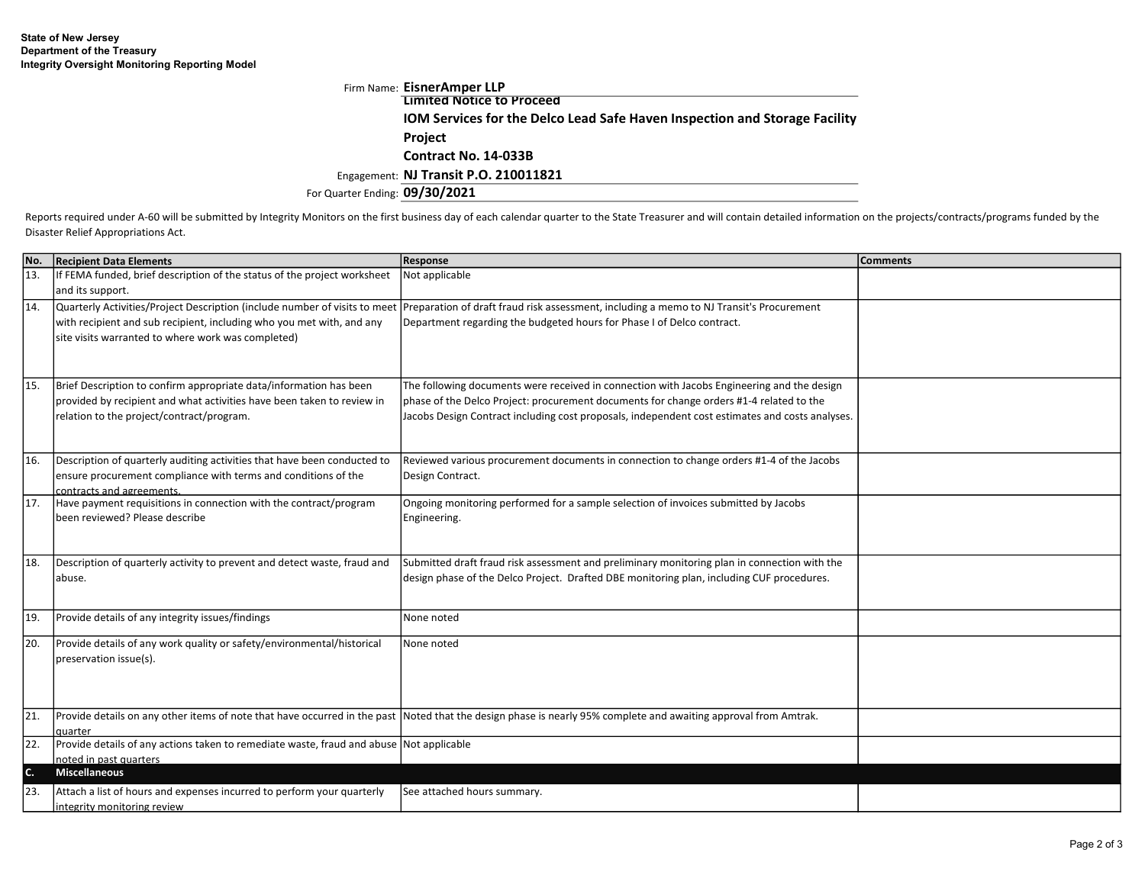|                                | Firm Name: EisnerAmper LLP                                                        |
|--------------------------------|-----------------------------------------------------------------------------------|
|                                | <b>Limited Notice to Proceed</b>                                                  |
|                                | <b>IOM Services for the Delco Lead Safe Haven Inspection and Storage Facility</b> |
|                                | <b>Project</b>                                                                    |
|                                | Contract No. 14-033B                                                              |
|                                | Engagement: NJ Transit P.O. 210011821                                             |
| For Quarter Ending: 09/30/2021 |                                                                                   |

Reports required under A-60 will be submitted by Integrity Monitors on the first business day of each calendar quarter to the State Treasurer and will contain detailed information on the projects/contracts/programs funded Disaster Relief Appropriations Act.

| No.             | <b>Recipient Data Elements</b>                                                               | <b>Response</b>                                                                                                                                                 | <b>Comments</b> |
|-----------------|----------------------------------------------------------------------------------------------|-----------------------------------------------------------------------------------------------------------------------------------------------------------------|-----------------|
| 13.             | If FEMA funded, brief description of the status of the project worksheet<br>and its support. | Not applicable                                                                                                                                                  |                 |
| 14.             | Quarterly Activities/Project Description (include number of visits to meet                   | Preparation of draft fraud risk assessment, including a memo to NJ Transit's Procurement                                                                        |                 |
|                 | with recipient and sub recipient, including who you met with, and any                        | Department regarding the budgeted hours for Phase I of Delco contract.                                                                                          |                 |
|                 | site visits warranted to where work was completed)                                           |                                                                                                                                                                 |                 |
|                 |                                                                                              |                                                                                                                                                                 |                 |
|                 |                                                                                              |                                                                                                                                                                 |                 |
| 15.             | Brief Description to confirm appropriate data/information has been                           | The following documents were received in connection with Jacobs Engineering and the design                                                                      |                 |
|                 | provided by recipient and what activities have been taken to review in                       | phase of the Delco Project: procurement documents for change orders #1-4 related to the                                                                         |                 |
|                 | relation to the project/contract/program.                                                    | Jacobs Design Contract including cost proposals, independent cost estimates and costs analyses.                                                                 |                 |
|                 |                                                                                              |                                                                                                                                                                 |                 |
| 16.             | Description of quarterly auditing activities that have been conducted to                     | Reviewed various procurement documents in connection to change orders #1-4 of the Jacobs                                                                        |                 |
|                 | ensure procurement compliance with terms and conditions of the                               | Design Contract.                                                                                                                                                |                 |
|                 | contracts and agreements.                                                                    |                                                                                                                                                                 |                 |
| 17.             | Have payment requisitions in connection with the contract/program                            | Ongoing monitoring performed for a sample selection of invoices submitted by Jacobs                                                                             |                 |
|                 | been reviewed? Please describe                                                               | Engineering.                                                                                                                                                    |                 |
|                 |                                                                                              |                                                                                                                                                                 |                 |
| 18.             | Description of quarterly activity to prevent and detect waste, fraud and                     | Submitted draft fraud risk assessment and preliminary monitoring plan in connection with the                                                                    |                 |
|                 | abuse.                                                                                       | design phase of the Delco Project. Drafted DBE monitoring plan, including CUF procedures.                                                                       |                 |
|                 |                                                                                              |                                                                                                                                                                 |                 |
| 19.             | Provide details of any integrity issues/findings                                             | None noted                                                                                                                                                      |                 |
| 20.             | Provide details of any work quality or safety/environmental/historical                       | None noted                                                                                                                                                      |                 |
|                 | preservation issue(s).                                                                       |                                                                                                                                                                 |                 |
|                 |                                                                                              |                                                                                                                                                                 |                 |
|                 |                                                                                              |                                                                                                                                                                 |                 |
| $\overline{21}$ |                                                                                              | Provide details on any other items of note that have occurred in the past Noted that the design phase is nearly 95% complete and awaiting approval from Amtrak. |                 |
|                 | auarter                                                                                      |                                                                                                                                                                 |                 |
| $\overline{22}$ | Provide details of any actions taken to remediate waste, fraud and abuse Not applicable      |                                                                                                                                                                 |                 |
| c.              | noted in past quarters<br><b>Miscellaneous</b>                                               |                                                                                                                                                                 |                 |
|                 |                                                                                              |                                                                                                                                                                 |                 |
| l23.            | Attach a list of hours and expenses incurred to perform your quarterly                       | See attached hours summary.                                                                                                                                     |                 |
|                 | integrity monitoring review                                                                  |                                                                                                                                                                 |                 |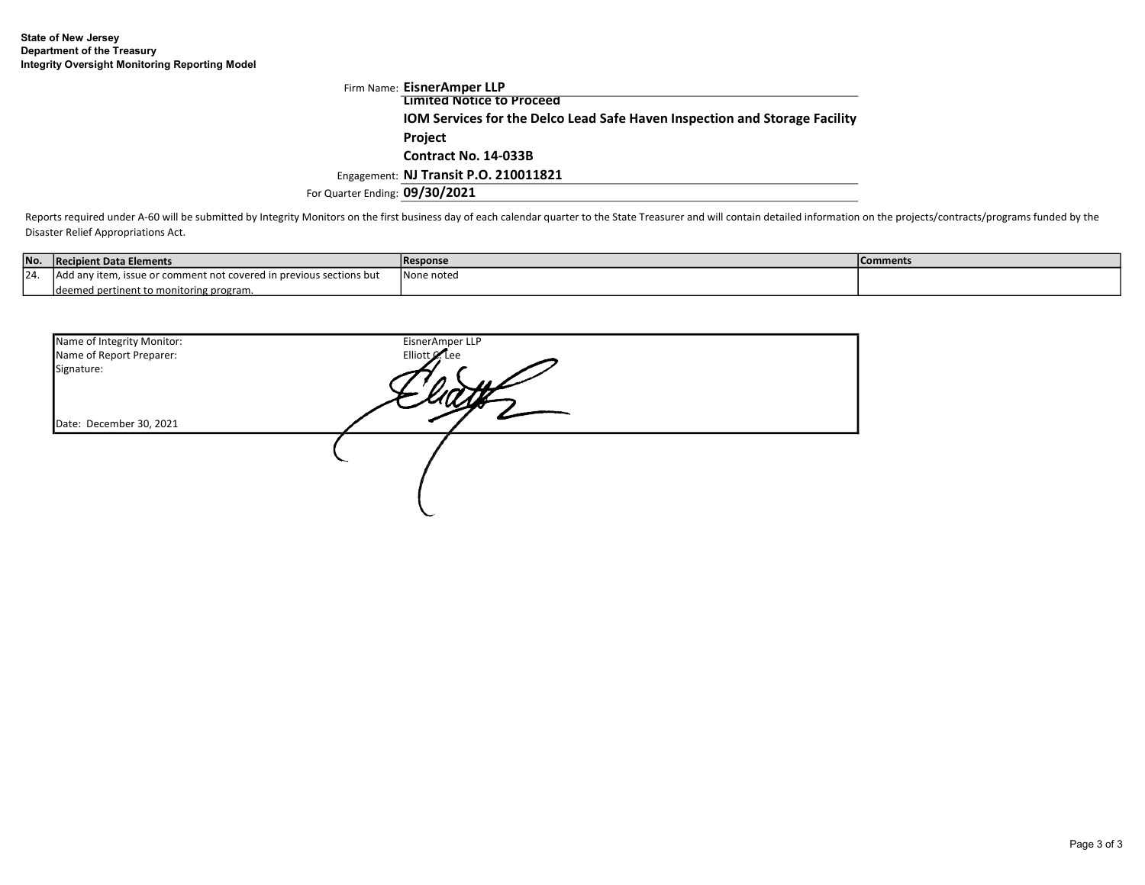|                                | Firm Name: EisnerAmper LLP                                                        |
|--------------------------------|-----------------------------------------------------------------------------------|
|                                | <b>Limited Notice to Proceed</b>                                                  |
|                                | <b>IOM Services for the Delco Lead Safe Haven Inspection and Storage Facility</b> |
|                                | <b>Project</b>                                                                    |
|                                | Contract No. 14-033B                                                              |
|                                | Engagement: NJ Transit P.O. 210011821                                             |
| For Quarter Ending: 09/30/2021 |                                                                                   |

Reports required under A-60 will be submitted by Integrity Monitors on the first business day of each calendar quarter to the State Treasurer and will contain detailed information on the projects/contracts/programs funded Disaster Relief Appropriations Act.

| No.  | Recipient Data Elements                                             | <b>Response</b> | Comments |
|------|---------------------------------------------------------------------|-----------------|----------|
| 124. | Add any item, issue or comment not covered in previous sections but | None noted      |          |
|      | deemed pertinent to monitoring program.                             |                 |          |

| Name of Integrity Monitor:<br>Name of Report Preparer: | EisnerAmper LLP<br>Elliott Clee |  |
|--------------------------------------------------------|---------------------------------|--|
| Signature:                                             |                                 |  |
|                                                        |                                 |  |
| Date: December 30, 2021                                |                                 |  |
|                                                        |                                 |  |
|                                                        |                                 |  |
|                                                        |                                 |  |
|                                                        |                                 |  |